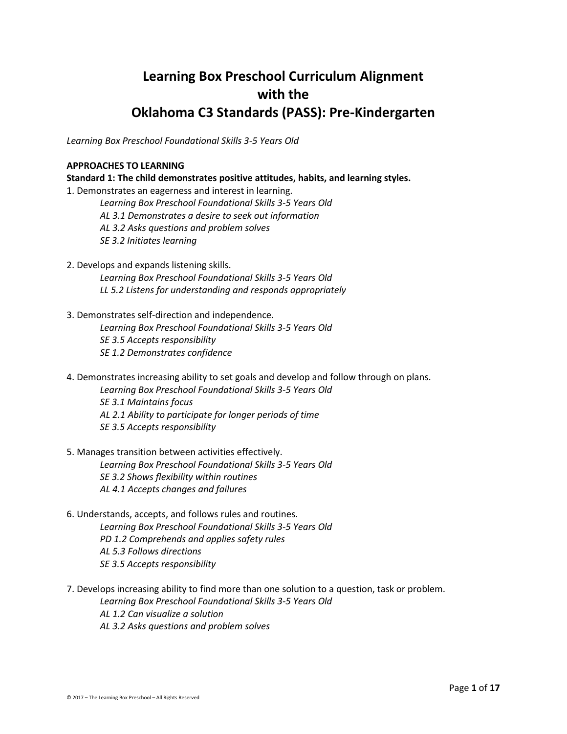# **Learning Box Preschool Curriculum Alignment with the Oklahoma C3 Standards (PASS): Pre-Kindergarten**

*Learning Box Preschool Foundational Skills 3-5 Years Old*

#### **APPROACHES TO LEARNING**

**Standard 1: The child demonstrates positive attitudes, habits, and learning styles.** 

- 1. Demonstrates an eagerness and interest in learning. *Learning Box Preschool Foundational Skills 3-5 Years Old AL 3.1 Demonstrates a desire to seek out information AL 3.2 Asks questions and problem solves SE 3.2 Initiates learning*
- 2. Develops and expands listening skills.
	- *Learning Box Preschool Foundational Skills 3-5 Years Old LL 5.2 Listens for understanding and responds appropriately*
- 3. Demonstrates self-direction and independence.

*Learning Box Preschool Foundational Skills 3-5 Years Old SE 3.5 Accepts responsibility SE 1.2 Demonstrates confidence*

- 4. Demonstrates increasing ability to set goals and develop and follow through on plans. *Learning Box Preschool Foundational Skills 3-5 Years Old SE 3.1 Maintains focus AL 2.1 Ability to participate for longer periods of time SE 3.5 Accepts responsibility*
- 5. Manages transition between activities effectively. *Learning Box Preschool Foundational Skills 3-5 Years Old SE 3.2 Shows flexibility within routines AL 4.1 Accepts changes and failures*
- 6. Understands, accepts, and follows rules and routines. *Learning Box Preschool Foundational Skills 3-5 Years Old PD 1.2 Comprehends and applies safety rules AL 5.3 Follows directions SE 3.5 Accepts responsibility*
- 7. Develops increasing ability to find more than one solution to a question, task or problem. *Learning Box Preschool Foundational Skills 3-5 Years Old AL 1.2 Can visualize a solution AL 3.2 Asks questions and problem solves*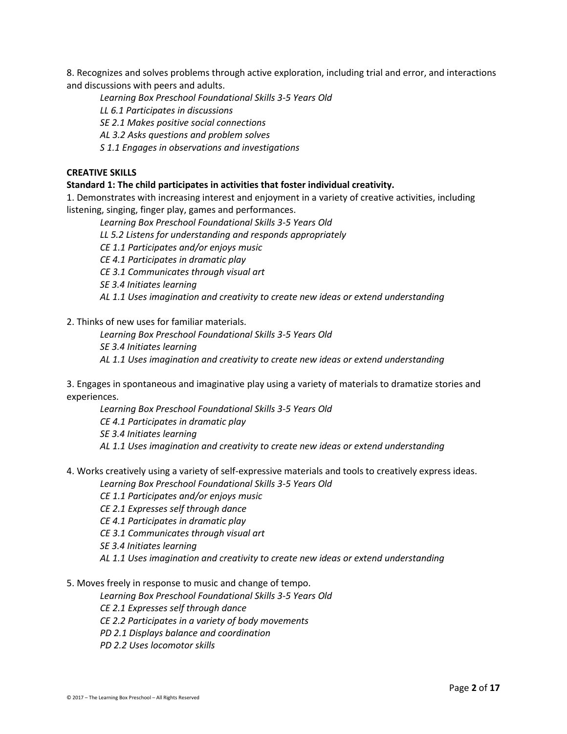8. Recognizes and solves problems through active exploration, including trial and error, and interactions and discussions with peers and adults.

*Learning Box Preschool Foundational Skills 3-5 Years Old*

*LL 6.1 Participates in discussions*

*SE 2.1 Makes positive social connections*

*AL 3.2 Asks questions and problem solves*

*S 1.1 Engages in observations and investigations*

#### **CREATIVE SKILLS**

#### **Standard 1: The child participates in activities that foster individual creativity.**

1. Demonstrates with increasing interest and enjoyment in a variety of creative activities, including listening, singing, finger play, games and performances.

*Learning Box Preschool Foundational Skills 3-5 Years Old*

*LL 5.2 Listens for understanding and responds appropriately*

*CE 1.1 Participates and/or enjoys music*

*CE 4.1 Participates in dramatic play*

*CE 3.1 Communicates through visual art*

*SE 3.4 Initiates learning*

*AL 1.1 Uses imagination and creativity to create new ideas or extend understanding*

2. Thinks of new uses for familiar materials.

*Learning Box Preschool Foundational Skills 3-5 Years Old SE 3.4 Initiates learning AL 1.1 Uses imagination and creativity to create new ideas or extend understanding*

3. Engages in spontaneous and imaginative play using a variety of materials to dramatize stories and experiences.

*Learning Box Preschool Foundational Skills 3-5 Years Old CE 4.1 Participates in dramatic play SE 3.4 Initiates learning AL 1.1 Uses imagination and creativity to create new ideas or extend understanding*

- 4. Works creatively using a variety of self-expressive materials and tools to creatively express ideas. *Learning Box Preschool Foundational Skills 3-5 Years Old*
	- *CE 1.1 Participates and/or enjoys music*
	- *CE 2.1 Expresses self through dance*
	- *CE 4.1 Participates in dramatic play*

*CE 3.1 Communicates through visual art*

*SE 3.4 Initiates learning*

*AL 1.1 Uses imagination and creativity to create new ideas or extend understanding*

5. Moves freely in response to music and change of tempo.

*Learning Box Preschool Foundational Skills 3-5 Years Old*

*CE 2.1 Expresses self through dance*

*CE 2.2 Participates in a variety of body movements*

*PD 2.1 Displays balance and coordination*

*PD 2.2 Uses locomotor skills*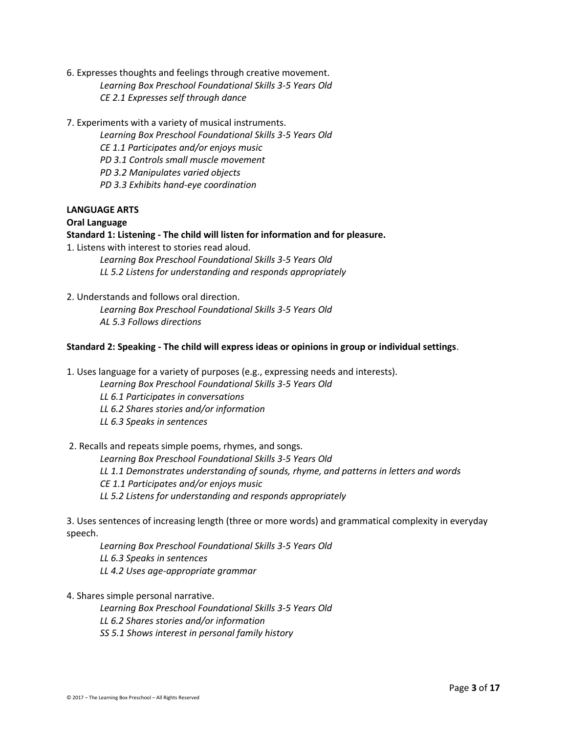- 6. Expresses thoughts and feelings through creative movement. *Learning Box Preschool Foundational Skills 3-5 Years Old CE 2.1 Expresses self through dance*
- 7. Experiments with a variety of musical instruments.

*Learning Box Preschool Foundational Skills 3-5 Years Old CE 1.1 Participates and/or enjoys music PD 3.1 Controls small muscle movement PD 3.2 Manipulates varied objects PD 3.3 Exhibits hand-eye coordination*

#### **LANGUAGE ARTS**

#### **Oral Language**

#### **Standard 1: Listening - The child will listen for information and for pleasure.**

1. Listens with interest to stories read aloud.

*Learning Box Preschool Foundational Skills 3-5 Years Old LL 5.2 Listens for understanding and responds appropriately*

2. Understands and follows oral direction. *Learning Box Preschool Foundational Skills 3-5 Years Old*

*AL 5.3 Follows directions*

#### **Standard 2: Speaking - The child will express ideas or opinions in group or individual settings**.

1. Uses language for a variety of purposes (e.g., expressing needs and interests).

*Learning Box Preschool Foundational Skills 3-5 Years Old*

*LL 6.1 Participates in conversations*

*LL 6.2 Shares stories and/or information*

*LL 6.3 Speaks in sentences*

## 2. Recalls and repeats simple poems, rhymes, and songs.

*Learning Box Preschool Foundational Skills 3-5 Years Old LL 1.1 Demonstrates understanding of sounds, rhyme, and patterns in letters and words CE 1.1 Participates and/or enjoys music LL 5.2 Listens for understanding and responds appropriately*

3. Uses sentences of increasing length (three or more words) and grammatical complexity in everyday speech.

*Learning Box Preschool Foundational Skills 3-5 Years Old LL 6.3 Speaks in sentences LL 4.2 Uses age-appropriate grammar*

4. Shares simple personal narrative.

*Learning Box Preschool Foundational Skills 3-5 Years Old LL 6.2 Shares stories and/or information SS 5.1 Shows interest in personal family history*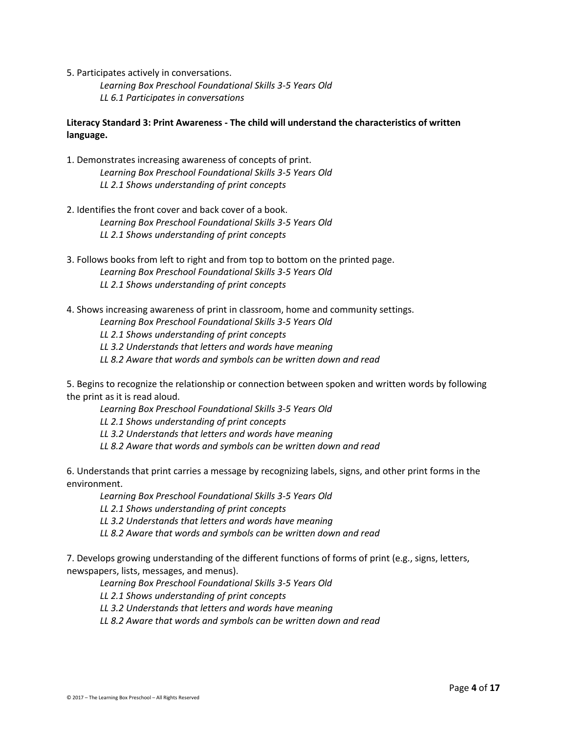5. Participates actively in conversations.

*Learning Box Preschool Foundational Skills 3-5 Years Old LL 6.1 Participates in conversations*

# **Literacy Standard 3: Print Awareness - The child will understand the characteristics of written language.**

- 1. Demonstrates increasing awareness of concepts of print. *Learning Box Preschool Foundational Skills 3-5 Years Old LL 2.1 Shows understanding of print concepts*
- 2. Identifies the front cover and back cover of a book. *Learning Box Preschool Foundational Skills 3-5 Years Old LL 2.1 Shows understanding of print concepts*
- 3. Follows books from left to right and from top to bottom on the printed page. *Learning Box Preschool Foundational Skills 3-5 Years Old LL 2.1 Shows understanding of print concepts*
- 4. Shows increasing awareness of print in classroom, home and community settings.
	- *Learning Box Preschool Foundational Skills 3-5 Years Old*
	- *LL 2.1 Shows understanding of print concepts*
	- *LL 3.2 Understands that letters and words have meaning*
	- *LL 8.2 Aware that words and symbols can be written down and read*

5. Begins to recognize the relationship or connection between spoken and written words by following the print as it is read aloud.

- *Learning Box Preschool Foundational Skills 3-5 Years Old*
- *LL 2.1 Shows understanding of print concepts*
- *LL 3.2 Understands that letters and words have meaning*
- *LL 8.2 Aware that words and symbols can be written down and read*

6. Understands that print carries a message by recognizing labels, signs, and other print forms in the environment.

*Learning Box Preschool Foundational Skills 3-5 Years Old*

- *LL 2.1 Shows understanding of print concepts*
- *LL 3.2 Understands that letters and words have meaning*
- *LL 8.2 Aware that words and symbols can be written down and read*

7. Develops growing understanding of the different functions of forms of print (e.g., signs, letters, newspapers, lists, messages, and menus).

*Learning Box Preschool Foundational Skills 3-5 Years Old*

*LL 2.1 Shows understanding of print concepts*

- *LL 3.2 Understands that letters and words have meaning*
- *LL 8.2 Aware that words and symbols can be written down and read*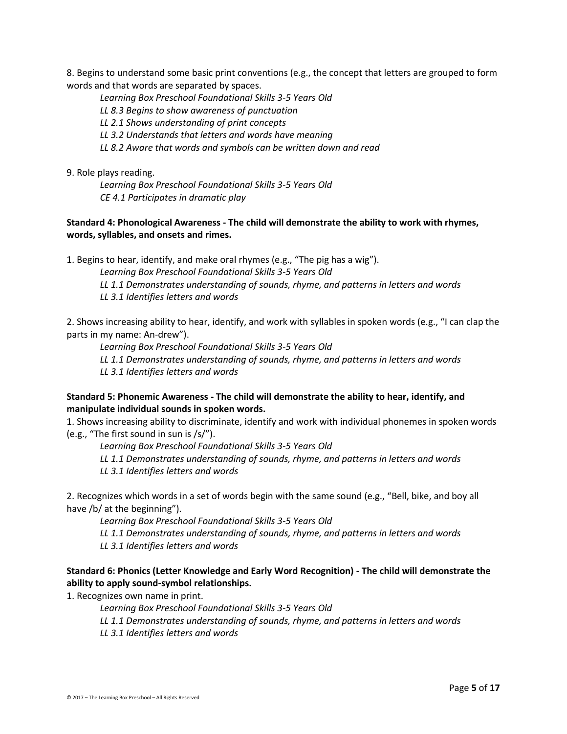8. Begins to understand some basic print conventions (e.g., the concept that letters are grouped to form words and that words are separated by spaces.

*Learning Box Preschool Foundational Skills 3-5 Years Old LL 8.3 Begins to show awareness of punctuation LL 2.1 Shows understanding of print concepts LL 3.2 Understands that letters and words have meaning LL 8.2 Aware that words and symbols can be written down and read*

9. Role plays reading.

*Learning Box Preschool Foundational Skills 3-5 Years Old CE 4.1 Participates in dramatic play*

### **Standard 4: Phonological Awareness - The child will demonstrate the ability to work with rhymes, words, syllables, and onsets and rimes.**

1. Begins to hear, identify, and make oral rhymes (e.g., "The pig has a wig").

*Learning Box Preschool Foundational Skills 3-5 Years Old*

*LL 1.1 Demonstrates understanding of sounds, rhyme, and patterns in letters and words*

*LL 3.1 Identifies letters and words*

2. Shows increasing ability to hear, identify, and work with syllables in spoken words (e.g., "I can clap the parts in my name: An-drew").

*Learning Box Preschool Foundational Skills 3-5 Years Old*

*LL 1.1 Demonstrates understanding of sounds, rhyme, and patterns in letters and words LL 3.1 Identifies letters and words*

## **Standard 5: Phonemic Awareness - The child will demonstrate the ability to hear, identify, and manipulate individual sounds in spoken words.**

1. Shows increasing ability to discriminate, identify and work with individual phonemes in spoken words (e.g., "The first sound in sun is /s/").

*Learning Box Preschool Foundational Skills 3-5 Years Old*

*LL 1.1 Demonstrates understanding of sounds, rhyme, and patterns in letters and words*

*LL 3.1 Identifies letters and words*

2. Recognizes which words in a set of words begin with the same sound (e.g., "Bell, bike, and boy all have /b/ at the beginning").

*Learning Box Preschool Foundational Skills 3-5 Years Old*

*LL 1.1 Demonstrates understanding of sounds, rhyme, and patterns in letters and words*

*LL 3.1 Identifies letters and words*

# **Standard 6: Phonics (Letter Knowledge and Early Word Recognition) - The child will demonstrate the ability to apply sound-symbol relationships.**

1. Recognizes own name in print.

*Learning Box Preschool Foundational Skills 3-5 Years Old*

*LL 1.1 Demonstrates understanding of sounds, rhyme, and patterns in letters and words*

*LL 3.1 Identifies letters and words*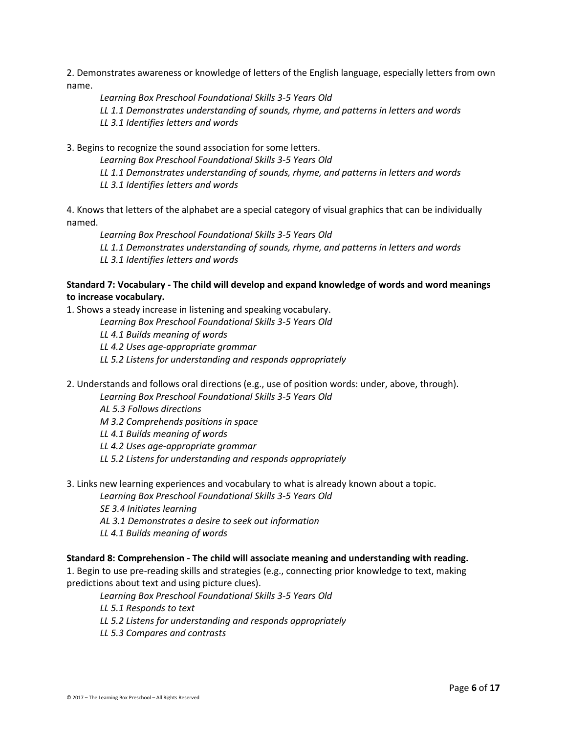2. Demonstrates awareness or knowledge of letters of the English language, especially letters from own name.

*Learning Box Preschool Foundational Skills 3-5 Years Old LL 1.1 Demonstrates understanding of sounds, rhyme, and patterns in letters and words LL 3.1 Identifies letters and words*

3. Begins to recognize the sound association for some letters.

*Learning Box Preschool Foundational Skills 3-5 Years Old*

*LL 1.1 Demonstrates understanding of sounds, rhyme, and patterns in letters and words*

*LL 3.1 Identifies letters and words*

4. Knows that letters of the alphabet are a special category of visual graphics that can be individually named.

*Learning Box Preschool Foundational Skills 3-5 Years Old*

*LL 1.1 Demonstrates understanding of sounds, rhyme, and patterns in letters and words LL 3.1 Identifies letters and words*

# **Standard 7: Vocabulary - The child will develop and expand knowledge of words and word meanings to increase vocabulary.**

1. Shows a steady increase in listening and speaking vocabulary.

*Learning Box Preschool Foundational Skills 3-5 Years Old*

*LL 4.1 Builds meaning of words*

*LL 4.2 Uses age-appropriate grammar*

- *LL 5.2 Listens for understanding and responds appropriately*
- 2. Understands and follows oral directions (e.g., use of position words: under, above, through).

*Learning Box Preschool Foundational Skills 3-5 Years Old*

*AL 5.3 Follows directions*

*M 3.2 Comprehends positions in space*

*LL 4.1 Builds meaning of words*

*LL 4.2 Uses age-appropriate grammar*

- *LL 5.2 Listens for understanding and responds appropriately*
- 3. Links new learning experiences and vocabulary to what is already known about a topic.
	- *Learning Box Preschool Foundational Skills 3-5 Years Old*
	- *SE 3.4 Initiates learning*
	- *AL 3.1 Demonstrates a desire to seek out information*
	- *LL 4.1 Builds meaning of words*

## **Standard 8: Comprehension - The child will associate meaning and understanding with reading.**

1. Begin to use pre-reading skills and strategies (e.g., connecting prior knowledge to text, making predictions about text and using picture clues).

*Learning Box Preschool Foundational Skills 3-5 Years Old*

*LL 5.1 Responds to text*

- *LL 5.2 Listens for understanding and responds appropriately*
- *LL 5.3 Compares and contrasts*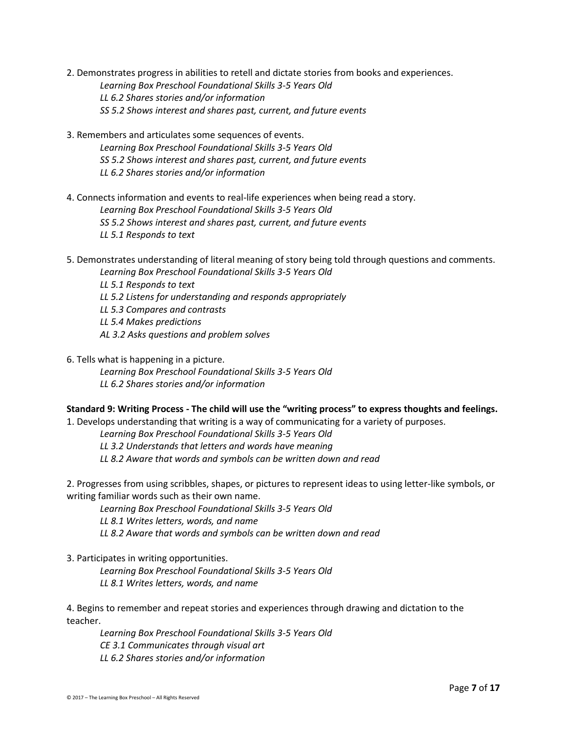- 2. Demonstrates progress in abilities to retell and dictate stories from books and experiences. *Learning Box Preschool Foundational Skills 3-5 Years Old LL 6.2 Shares stories and/or information SS 5.2 Shows interest and shares past, current, and future events*
- 3. Remembers and articulates some sequences of events. *Learning Box Preschool Foundational Skills 3-5 Years Old SS 5.2 Shows interest and shares past, current, and future events LL 6.2 Shares stories and/or information*
- 4. Connects information and events to real-life experiences when being read a story. *Learning Box Preschool Foundational Skills 3-5 Years Old SS 5.2 Shows interest and shares past, current, and future events LL 5.1 Responds to text*
- 5. Demonstrates understanding of literal meaning of story being told through questions and comments. *Learning Box Preschool Foundational Skills 3-5 Years Old*
	- *LL 5.1 Responds to text LL 5.2 Listens for understanding and responds appropriately LL 5.3 Compares and contrasts LL 5.4 Makes predictions*
	- *AL 3.2 Asks questions and problem solves*
- 6. Tells what is happening in a picture.
	- *Learning Box Preschool Foundational Skills 3-5 Years Old LL 6.2 Shares stories and/or information*

#### **Standard 9: Writing Process - The child will use the "writing process" to express thoughts and feelings.**

1. Develops understanding that writing is a way of communicating for a variety of purposes.

*Learning Box Preschool Foundational Skills 3-5 Years Old*

*LL 3.2 Understands that letters and words have meaning*

*LL 8.2 Aware that words and symbols can be written down and read*

2. Progresses from using scribbles, shapes, or pictures to represent ideas to using letter-like symbols, or writing familiar words such as their own name.

*Learning Box Preschool Foundational Skills 3-5 Years Old*

*LL 8.1 Writes letters, words, and name*

*LL 8.2 Aware that words and symbols can be written down and read*

3. Participates in writing opportunities.

*Learning Box Preschool Foundational Skills 3-5 Years Old LL 8.1 Writes letters, words, and name*

4. Begins to remember and repeat stories and experiences through drawing and dictation to the teacher.

*Learning Box Preschool Foundational Skills 3-5 Years Old CE 3.1 Communicates through visual art LL 6.2 Shares stories and/or information*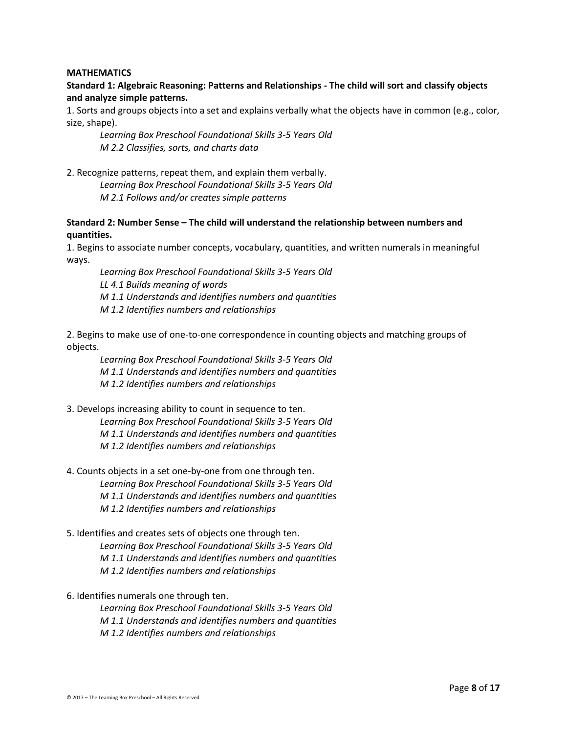#### **MATHEMATICS**

# **Standard 1: Algebraic Reasoning: Patterns and Relationships - The child will sort and classify objects and analyze simple patterns.**

1. Sorts and groups objects into a set and explains verbally what the objects have in common (e.g., color, size, shape).

*Learning Box Preschool Foundational Skills 3-5 Years Old M 2.2 Classifies, sorts, and charts data*

2. Recognize patterns, repeat them, and explain them verbally. *Learning Box Preschool Foundational Skills 3-5 Years Old M 2.1 Follows and/or creates simple patterns*

## **Standard 2: Number Sense – The child will understand the relationship between numbers and quantities.**

1. Begins to associate number concepts, vocabulary, quantities, and written numerals in meaningful ways.

*Learning Box Preschool Foundational Skills 3-5 Years Old LL 4.1 Builds meaning of words M 1.1 Understands and identifies numbers and quantities M 1.2 Identifies numbers and relationships*

2. Begins to make use of one-to-one correspondence in counting objects and matching groups of objects.

*Learning Box Preschool Foundational Skills 3-5 Years Old M 1.1 Understands and identifies numbers and quantities M 1.2 Identifies numbers and relationships*

- 3. Develops increasing ability to count in sequence to ten. *Learning Box Preschool Foundational Skills 3-5 Years Old M 1.1 Understands and identifies numbers and quantities M 1.2 Identifies numbers and relationships*
- 4. Counts objects in a set one-by-one from one through ten. *Learning Box Preschool Foundational Skills 3-5 Years Old M 1.1 Understands and identifies numbers and quantities M 1.2 Identifies numbers and relationships*
- 5. Identifies and creates sets of objects one through ten. *Learning Box Preschool Foundational Skills 3-5 Years Old M 1.1 Understands and identifies numbers and quantities M 1.2 Identifies numbers and relationships*

6. Identifies numerals one through ten.

*Learning Box Preschool Foundational Skills 3-5 Years Old M 1.1 Understands and identifies numbers and quantities M 1.2 Identifies numbers and relationships*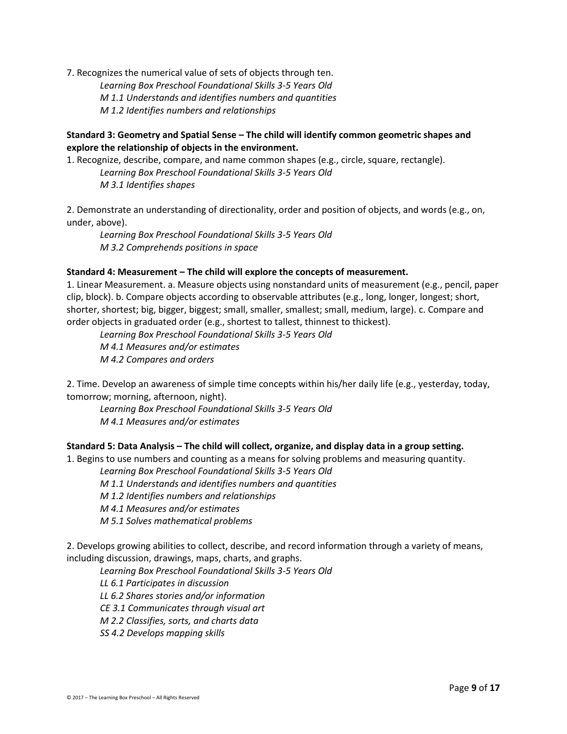7. Recognizes the numerical value of sets of objects through ten.

*Learning Box Preschool Foundational Skills 3-5 Years Old M 1.1 Understands and identifies numbers and quantities*

*M 1.2 Identifies numbers and relationships*

# **Standard 3: Geometry and Spatial Sense – The child will identify common geometric shapes and explore the relationship of objects in the environment.**

1. Recognize, describe, compare, and name common shapes (e.g., circle, square, rectangle). *Learning Box Preschool Foundational Skills 3-5 Years Old*

*M 3.1 Identifies shapes*

2. Demonstrate an understanding of directionality, order and position of objects, and words (e.g., on, under, above).

*Learning Box Preschool Foundational Skills 3-5 Years Old M 3.2 Comprehends positions in space*

## **Standard 4: Measurement – The child will explore the concepts of measurement.**

1. Linear Measurement. a. Measure objects using nonstandard units of measurement (e.g., pencil, paper clip, block). b. Compare objects according to observable attributes (e.g., long, longer, longest; short, shorter, shortest; big, bigger, biggest; small, smaller, smallest; small, medium, large). c. Compare and order objects in graduated order (e.g., shortest to tallest, thinnest to thickest).

*Learning Box Preschool Foundational Skills 3-5 Years Old M 4.1 Measures and/or estimates M 4.2 Compares and orders*

2. Time. Develop an awareness of simple time concepts within his/her daily life (e.g., yesterday, today, tomorrow; morning, afternoon, night).

*Learning Box Preschool Foundational Skills 3-5 Years Old M 4.1 Measures and/or estimates*

# **Standard 5: Data Analysis – The child will collect, organize, and display data in a group setting.**

1. Begins to use numbers and counting as a means for solving problems and measuring quantity.

*Learning Box Preschool Foundational Skills 3-5 Years Old*

*M 1.1 Understands and identifies numbers and quantities*

*M 1.2 Identifies numbers and relationships*

*M 4.1 Measures and/or estimates*

*M 5.1 Solves mathematical problems*

2. Develops growing abilities to collect, describe, and record information through a variety of means, including discussion, drawings, maps, charts, and graphs.

*Learning Box Preschool Foundational Skills 3-5 Years Old*

*LL 6.1 Participates in discussion*

*LL 6.2 Shares stories and/or information*

*CE 3.1 Communicates through visual art*

*M 2.2 Classifies, sorts, and charts data*

*SS 4.2 Develops mapping skills*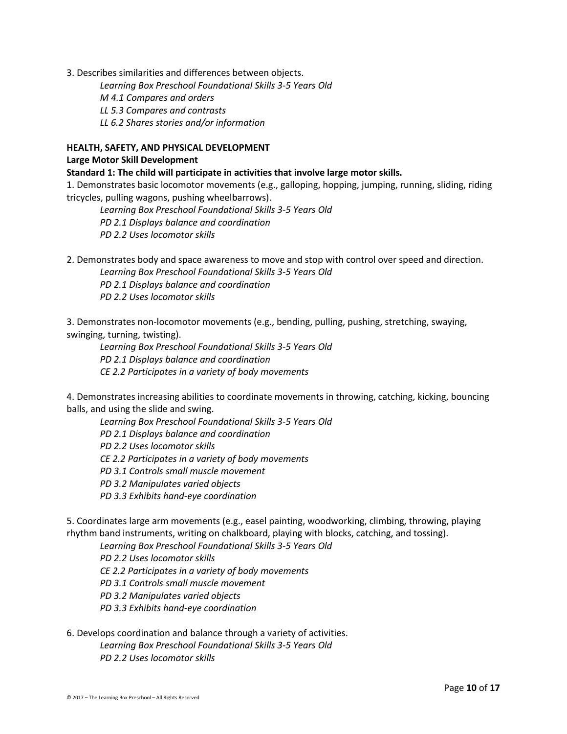3. Describes similarities and differences between objects.

*Learning Box Preschool Foundational Skills 3-5 Years Old*

*M 4.1 Compares and orders*

*LL 5.3 Compares and contrasts*

*LL 6.2 Shares stories and/or information*

#### **HEALTH, SAFETY, AND PHYSICAL DEVELOPMENT**

#### **Large Motor Skill Development**

**Standard 1: The child will participate in activities that involve large motor skills.** 

1. Demonstrates basic locomotor movements (e.g., galloping, hopping, jumping, running, sliding, riding tricycles, pulling wagons, pushing wheelbarrows).

*Learning Box Preschool Foundational Skills 3-5 Years Old PD 2.1 Displays balance and coordination PD 2.2 Uses locomotor skills*

2. Demonstrates body and space awareness to move and stop with control over speed and direction.

*Learning Box Preschool Foundational Skills 3-5 Years Old PD 2.1 Displays balance and coordination PD 2.2 Uses locomotor skills*

3. Demonstrates non-locomotor movements (e.g., bending, pulling, pushing, stretching, swaying, swinging, turning, twisting).

*Learning Box Preschool Foundational Skills 3-5 Years Old PD 2.1 Displays balance and coordination CE 2.2 Participates in a variety of body movements*

4. Demonstrates increasing abilities to coordinate movements in throwing, catching, kicking, bouncing balls, and using the slide and swing.

*Learning Box Preschool Foundational Skills 3-5 Years Old PD 2.1 Displays balance and coordination PD 2.2 Uses locomotor skills CE 2.2 Participates in a variety of body movements PD 3.1 Controls small muscle movement PD 3.2 Manipulates varied objects PD 3.3 Exhibits hand-eye coordination*

5. Coordinates large arm movements (e.g., easel painting, woodworking, climbing, throwing, playing rhythm band instruments, writing on chalkboard, playing with blocks, catching, and tossing).

*Learning Box Preschool Foundational Skills 3-5 Years Old PD 2.2 Uses locomotor skills CE 2.2 Participates in a variety of body movements PD 3.1 Controls small muscle movement PD 3.2 Manipulates varied objects PD 3.3 Exhibits hand-eye coordination*

6. Develops coordination and balance through a variety of activities. *Learning Box Preschool Foundational Skills 3-5 Years Old PD 2.2 Uses locomotor skills*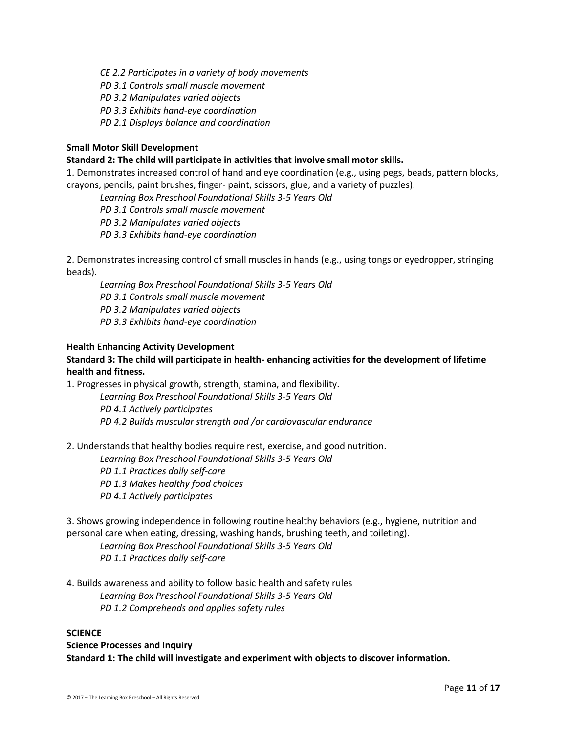*CE 2.2 Participates in a variety of body movements*

*PD 3.1 Controls small muscle movement*

*PD 3.2 Manipulates varied objects*

*PD 3.3 Exhibits hand-eye coordination*

*PD 2.1 Displays balance and coordination*

### **Small Motor Skill Development**

#### **Standard 2: The child will participate in activities that involve small motor skills.**

1. Demonstrates increased control of hand and eye coordination (e.g., using pegs, beads, pattern blocks, crayons, pencils, paint brushes, finger- paint, scissors, glue, and a variety of puzzles).

*Learning Box Preschool Foundational Skills 3-5 Years Old*

*PD 3.1 Controls small muscle movement*

*PD 3.2 Manipulates varied objects*

*PD 3.3 Exhibits hand-eye coordination*

2. Demonstrates increasing control of small muscles in hands (e.g., using tongs or eyedropper, stringing beads).

*Learning Box Preschool Foundational Skills 3-5 Years Old PD 3.1 Controls small muscle movement PD 3.2 Manipulates varied objects PD 3.3 Exhibits hand-eye coordination*

#### **Health Enhancing Activity Development**

# **Standard 3: The child will participate in health- enhancing activities for the development of lifetime health and fitness.**

1. Progresses in physical growth, strength, stamina, and flexibility.

*Learning Box Preschool Foundational Skills 3-5 Years Old PD 4.1 Actively participates PD 4.2 Builds muscular strength and /or cardiovascular endurance*

2. Understands that healthy bodies require rest, exercise, and good nutrition.

*Learning Box Preschool Foundational Skills 3-5 Years Old*

*PD 1.1 Practices daily self-care*

*PD 1.3 Makes healthy food choices*

*PD 4.1 Actively participates*

3. Shows growing independence in following routine healthy behaviors (e.g., hygiene, nutrition and personal care when eating, dressing, washing hands, brushing teeth, and toileting).

*Learning Box Preschool Foundational Skills 3-5 Years Old PD 1.1 Practices daily self-care*

4. Builds awareness and ability to follow basic health and safety rules *Learning Box Preschool Foundational Skills 3-5 Years Old PD 1.2 Comprehends and applies safety rules*

#### **SCIENCE**

**Science Processes and Inquiry Standard 1: The child will investigate and experiment with objects to discover information.**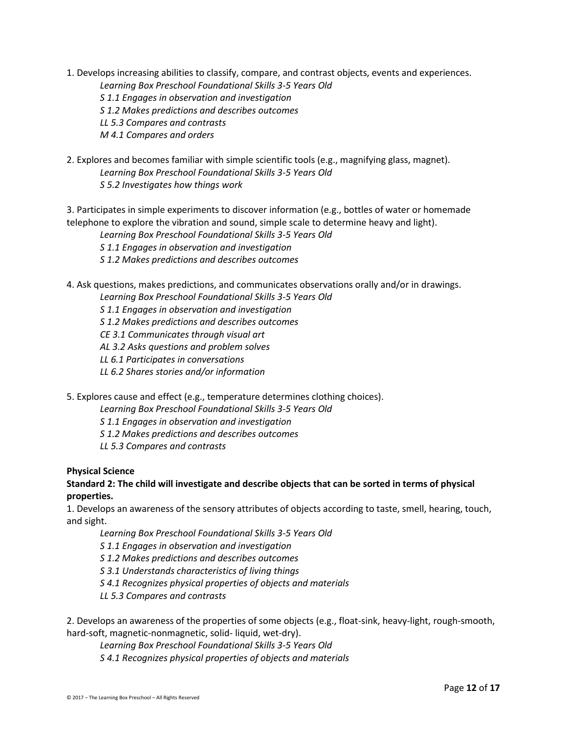1. Develops increasing abilities to classify, compare, and contrast objects, events and experiences.

*Learning Box Preschool Foundational Skills 3-5 Years Old*

*S 1.1 Engages in observation and investigation*

*S 1.2 Makes predictions and describes outcomes*

*LL 5.3 Compares and contrasts*

*M 4.1 Compares and orders*

2. Explores and becomes familiar with simple scientific tools (e.g., magnifying glass, magnet). *Learning Box Preschool Foundational Skills 3-5 Years Old S 5.2 Investigates how things work*

3. Participates in simple experiments to discover information (e.g., bottles of water or homemade telephone to explore the vibration and sound, simple scale to determine heavy and light).

*Learning Box Preschool Foundational Skills 3-5 Years Old*

*S 1.1 Engages in observation and investigation*

*S 1.2 Makes predictions and describes outcomes*

4. Ask questions, makes predictions, and communicates observations orally and/or in drawings.

*Learning Box Preschool Foundational Skills 3-5 Years Old*

*S 1.1 Engages in observation and investigation*

*S 1.2 Makes predictions and describes outcomes*

*CE 3.1 Communicates through visual art*

*AL 3.2 Asks questions and problem solves*

*LL 6.1 Participates in conversations*

*LL 6.2 Shares stories and/or information*

5. Explores cause and effect (e.g., temperature determines clothing choices).

*Learning Box Preschool Foundational Skills 3-5 Years Old*

*S 1.1 Engages in observation and investigation*

*S 1.2 Makes predictions and describes outcomes*

*LL 5.3 Compares and contrasts*

## **Physical Science**

# **Standard 2: The child will investigate and describe objects that can be sorted in terms of physical properties.**

1. Develops an awareness of the sensory attributes of objects according to taste, smell, hearing, touch, and sight.

*Learning Box Preschool Foundational Skills 3-5 Years Old*

*S 1.1 Engages in observation and investigation*

*S 1.2 Makes predictions and describes outcomes*

*S 3.1 Understands characteristics of living things*

*S 4.1 Recognizes physical properties of objects and materials*

*LL 5.3 Compares and contrasts*

2. Develops an awareness of the properties of some objects (e.g., float-sink, heavy-light, rough-smooth, hard-soft, magnetic-nonmagnetic, solid- liquid, wet-dry).

*Learning Box Preschool Foundational Skills 3-5 Years Old S 4.1 Recognizes physical properties of objects and materials*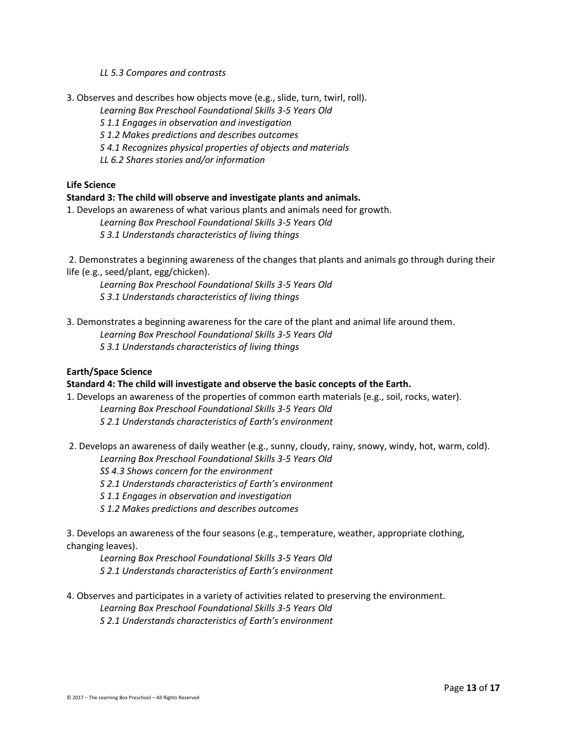*LL 5.3 Compares and contrasts*

3. Observes and describes how objects move (e.g., slide, turn, twirl, roll).

*Learning Box Preschool Foundational Skills 3-5 Years Old*

*S 1.1 Engages in observation and investigation*

*S 1.2 Makes predictions and describes outcomes*

*S 4.1 Recognizes physical properties of objects and materials*

*LL 6.2 Shares stories and/or information*

**Life Science** 

## **Standard 3: The child will observe and investigate plants and animals.**

1. Develops an awareness of what various plants and animals need for growth.

*Learning Box Preschool Foundational Skills 3-5 Years Old*

*S 3.1 Understands characteristics of living things*

2. Demonstrates a beginning awareness of the changes that plants and animals go through during their life (e.g., seed/plant, egg/chicken).

*Learning Box Preschool Foundational Skills 3-5 Years Old S 3.1 Understands characteristics of living things*

3. Demonstrates a beginning awareness for the care of the plant and animal life around them. *Learning Box Preschool Foundational Skills 3-5 Years Old*

*S 3.1 Understands characteristics of living things*

# **Earth/Space Science**

## **Standard 4: The child will investigate and observe the basic concepts of the Earth.**

1. Develops an awareness of the properties of common earth materials (e.g., soil, rocks, water). *Learning Box Preschool Foundational Skills 3-5 Years Old S 2.1 Understands characteristics of Earth's environment*

2. Develops an awareness of daily weather (e.g., sunny, cloudy, rainy, snowy, windy, hot, warm, cold).

*Learning Box Preschool Foundational Skills 3-5 Years Old*

*SS 4.3 Shows concern for the environment*

*S 2.1 Understands characteristics of Earth's environment*

*S 1.1 Engages in observation and investigation*

*S 1.2 Makes predictions and describes outcomes*

3. Develops an awareness of the four seasons (e.g., temperature, weather, appropriate clothing, changing leaves).

*Learning Box Preschool Foundational Skills 3-5 Years Old*

*S 2.1 Understands characteristics of Earth's environment*

4. Observes and participates in a variety of activities related to preserving the environment.

*Learning Box Preschool Foundational Skills 3-5 Years Old*

*S 2.1 Understands characteristics of Earth's environment*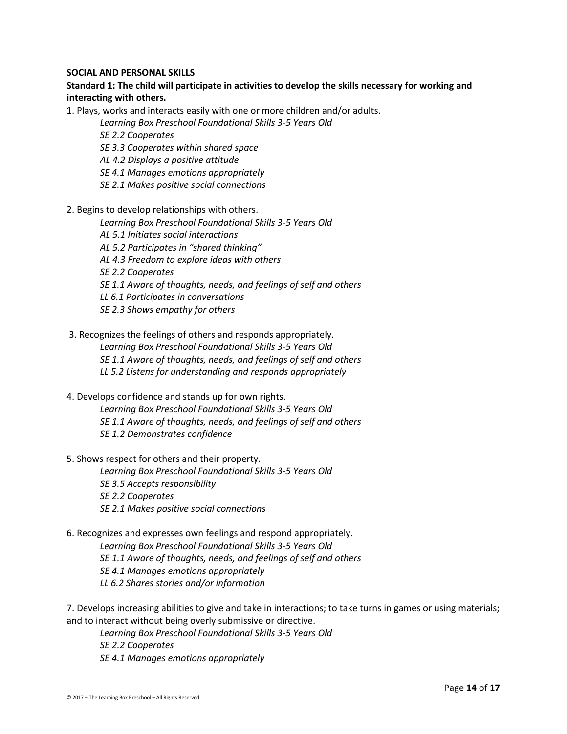#### **SOCIAL AND PERSONAL SKILLS**

# **Standard 1: The child will participate in activities to develop the skills necessary for working and interacting with others.**

1. Plays, works and interacts easily with one or more children and/or adults.

*Learning Box Preschool Foundational Skills 3-5 Years Old*

*SE 2.2 Cooperates*

- *SE 3.3 Cooperates within shared space*
- *AL 4.2 Displays a positive attitude*
- *SE 4.1 Manages emotions appropriately*
- *SE 2.1 Makes positive social connections*
- 2. Begins to develop relationships with others.
	- *Learning Box Preschool Foundational Skills 3-5 Years Old*
	- *AL 5.1 Initiates social interactions*
	- *AL 5.2 Participates in "shared thinking"*
	- *AL 4.3 Freedom to explore ideas with others*

*SE 2.2 Cooperates*

- *SE 1.1 Aware of thoughts, needs, and feelings of self and others*
- *LL 6.1 Participates in conversations*
- *SE 2.3 Shows empathy for others*
- 3. Recognizes the feelings of others and responds appropriately. *Learning Box Preschool Foundational Skills 3-5 Years Old*
	- *SE 1.1 Aware of thoughts, needs, and feelings of self and others*
	- *LL 5.2 Listens for understanding and responds appropriately*
- 4. Develops confidence and stands up for own rights. *Learning Box Preschool Foundational Skills 3-5 Years Old SE 1.1 Aware of thoughts, needs, and feelings of self and others*
	- *SE 1.2 Demonstrates confidence*
- 5. Shows respect for others and their property.

*Learning Box Preschool Foundational Skills 3-5 Years Old SE 3.5 Accepts responsibility SE 2.2 Cooperates SE 2.1 Makes positive social connections*

6. Recognizes and expresses own feelings and respond appropriately. *Learning Box Preschool Foundational Skills 3-5 Years Old SE 1.1 Aware of thoughts, needs, and feelings of self and others SE 4.1 Manages emotions appropriately LL 6.2 Shares stories and/or information*

7. Develops increasing abilities to give and take in interactions; to take turns in games or using materials; and to interact without being overly submissive or directive.

*Learning Box Preschool Foundational Skills 3-5 Years Old SE 2.2 Cooperates SE 4.1 Manages emotions appropriately*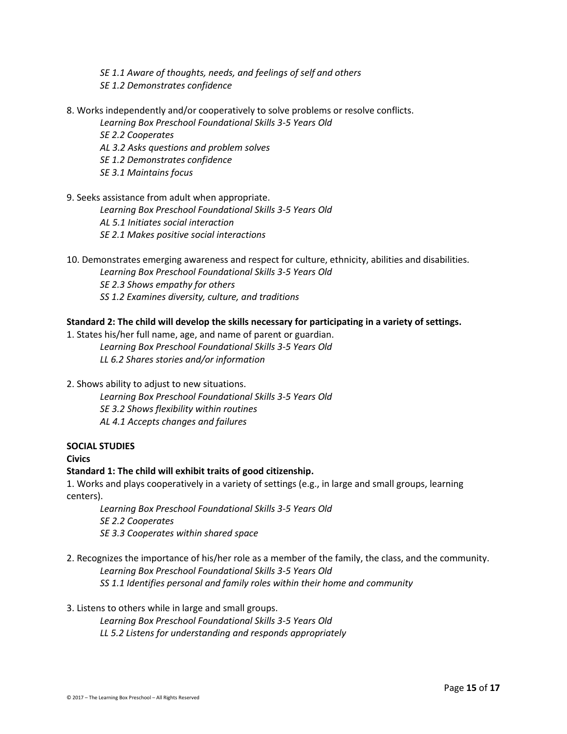- *SE 1.1 Aware of thoughts, needs, and feelings of self and others SE 1.2 Demonstrates confidence*
- 8. Works independently and/or cooperatively to solve problems or resolve conflicts.
	- *Learning Box Preschool Foundational Skills 3-5 Years Old*
	- *SE 2.2 Cooperates AL 3.2 Asks questions and problem solves SE 1.2 Demonstrates confidence SE 3.1 Maintains focus*
- 9. Seeks assistance from adult when appropriate.

*Learning Box Preschool Foundational Skills 3-5 Years Old AL 5.1 Initiates social interaction SE 2.1 Makes positive social interactions*

10. Demonstrates emerging awareness and respect for culture, ethnicity, abilities and disabilities. *Learning Box Preschool Foundational Skills 3-5 Years Old SE 2.3 Shows empathy for others SS 1.2 Examines diversity, culture, and traditions*

#### **Standard 2: The child will develop the skills necessary for participating in a variety of settings.**

1. States his/her full name, age, and name of parent or guardian. *Learning Box Preschool Foundational Skills 3-5 Years Old LL 6.2 Shares stories and/or information*

2. Shows ability to adjust to new situations.

*Learning Box Preschool Foundational Skills 3-5 Years Old SE 3.2 Shows flexibility within routines AL 4.1 Accepts changes and failures*

## **SOCIAL STUDIES**

#### **Civics**

#### **Standard 1: The child will exhibit traits of good citizenship.**

1. Works and plays cooperatively in a variety of settings (e.g., in large and small groups, learning centers).

*Learning Box Preschool Foundational Skills 3-5 Years Old SE 2.2 Cooperates SE 3.3 Cooperates within shared space*

2. Recognizes the importance of his/her role as a member of the family, the class, and the community. *Learning Box Preschool Foundational Skills 3-5 Years Old SS 1.1 Identifies personal and family roles within their home and community*

#### 3. Listens to others while in large and small groups.

*Learning Box Preschool Foundational Skills 3-5 Years Old LL 5.2 Listens for understanding and responds appropriately*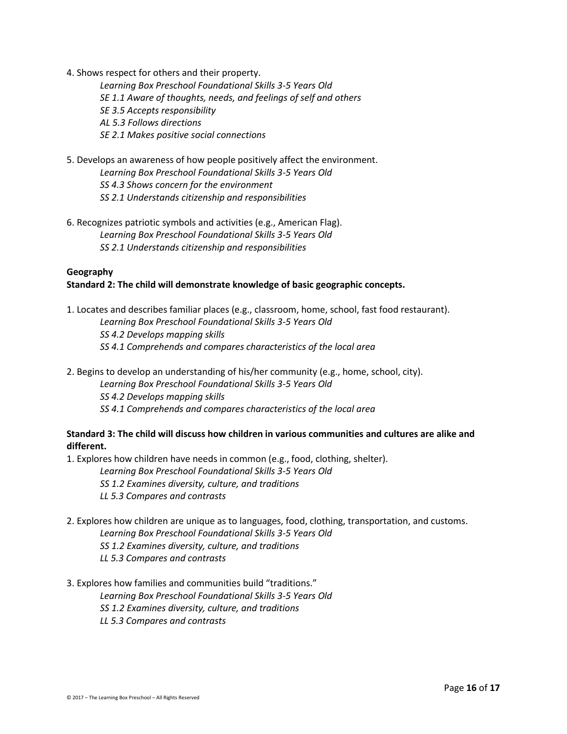4. Shows respect for others and their property.

*Learning Box Preschool Foundational Skills 3-5 Years Old SE 1.1 Aware of thoughts, needs, and feelings of self and others SE 3.5 Accepts responsibility AL 5.3 Follows directions SE 2.1 Makes positive social connections*

- 5. Develops an awareness of how people positively affect the environment. *Learning Box Preschool Foundational Skills 3-5 Years Old SS 4.3 Shows concern for the environment SS 2.1 Understands citizenship and responsibilities*
- 6. Recognizes patriotic symbols and activities (e.g., American Flag). *Learning Box Preschool Foundational Skills 3-5 Years Old SS 2.1 Understands citizenship and responsibilities*

## **Geography Standard 2: The child will demonstrate knowledge of basic geographic concepts.**

- 1. Locates and describes familiar places (e.g., classroom, home, school, fast food restaurant). *Learning Box Preschool Foundational Skills 3-5 Years Old SS 4.2 Develops mapping skills SS 4.1 Comprehends and compares characteristics of the local area*
- 2. Begins to develop an understanding of his/her community (e.g., home, school, city). *Learning Box Preschool Foundational Skills 3-5 Years Old SS 4.2 Develops mapping skills SS 4.1 Comprehends and compares characteristics of the local area*

# **Standard 3: The child will discuss how children in various communities and cultures are alike and different.**

1. Explores how children have needs in common (e.g., food, clothing, shelter).

- *Learning Box Preschool Foundational Skills 3-5 Years Old*
- *SS 1.2 Examines diversity, culture, and traditions*
- *LL 5.3 Compares and contrasts*
- 2. Explores how children are unique as to languages, food, clothing, transportation, and customs. *Learning Box Preschool Foundational Skills 3-5 Years Old SS 1.2 Examines diversity, culture, and traditions LL 5.3 Compares and contrasts*
- 3. Explores how families and communities build "traditions."

*Learning Box Preschool Foundational Skills 3-5 Years Old*

*SS 1.2 Examines diversity, culture, and traditions*

*LL 5.3 Compares and contrasts*